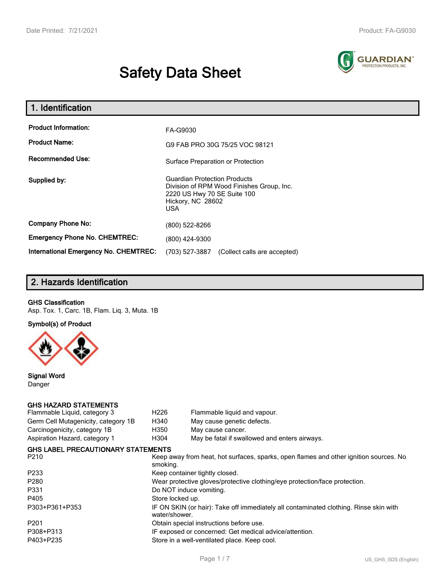# **Safety Data Sheet**



| 1. Identification                                                              |                                                                                                                                                    |  |  |
|--------------------------------------------------------------------------------|----------------------------------------------------------------------------------------------------------------------------------------------------|--|--|
| <b>Product Information:</b><br><b>Product Name:</b><br><b>Recommended Use:</b> | FA-G9030<br>G9 FAB PRO 30G 75/25 VOC 98121<br>Surface Preparation or Protection                                                                    |  |  |
| Supplied by:                                                                   | <b>Guardian Protection Products</b><br>Division of RPM Wood Finishes Group, Inc.<br>2220 US Hwy 70 SE Suite 100<br>Hickory, NC 28602<br><b>USA</b> |  |  |
| <b>Company Phone No:</b>                                                       | (800) 522-8266                                                                                                                                     |  |  |
| <b>Emergency Phone No. CHEMTREC:</b>                                           | (800) 424-9300                                                                                                                                     |  |  |
| International Emergency No. CHEMTREC:                                          | (703) 527-3887<br>(Collect calls are accepted)                                                                                                     |  |  |

# **2. Hazards Identification**

#### **GHS Classification**

Asp. Tox. 1, Carc. 1B, Flam. Liq. 3, Muta. 1B

**Symbol(s) of Product**



**Signal Word** Danger

#### **GHS HAZARD STATEMENTS**

| Flammable Liquid, category 3              | H <sub>226</sub>                                                           | Flammable liquid and vapour.                                                          |  |
|-------------------------------------------|----------------------------------------------------------------------------|---------------------------------------------------------------------------------------|--|
| Germ Cell Mutagenicity, category 1B       | H340                                                                       | May cause genetic defects.                                                            |  |
| Carcinogenicity, category 1B              | H350                                                                       | May cause cancer.                                                                     |  |
| Aspiration Hazard, category 1             | H304                                                                       | May be fatal if swallowed and enters airways.                                         |  |
| <b>GHS LABEL PRECAUTIONARY STATEMENTS</b> |                                                                            |                                                                                       |  |
| P210                                      | smoking.                                                                   | Keep away from heat, hot surfaces, sparks, open flames and other ignition sources. No |  |
| P233                                      |                                                                            | Keep container tightly closed.                                                        |  |
| P280                                      | Wear protective gloves/protective clothing/eye protection/face protection. |                                                                                       |  |
| P331                                      |                                                                            | Do NOT induce vomiting.                                                               |  |
| P405                                      | Store locked up.                                                           |                                                                                       |  |
| P303+P361+P353                            | water/shower.                                                              | IF ON SKIN (or hair): Take off immediately all contaminated clothing. Rinse skin with |  |
| P201                                      |                                                                            | Obtain special instructions before use.                                               |  |
| P308+P313                                 |                                                                            | IF exposed or concerned: Get medical advice/attention.                                |  |
| P403+P235                                 |                                                                            | Store in a well-ventilated place. Keep cool.                                          |  |
|                                           |                                                                            |                                                                                       |  |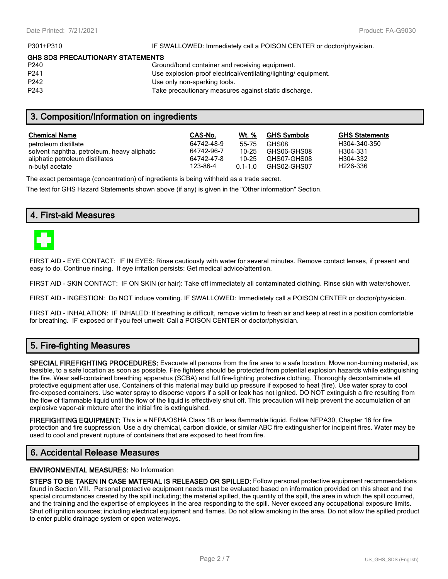P301+P310 **IF SWALLOWED:** Immediately call a POISON CENTER or doctor/physician.

#### **GHS SDS PRECAUTIONARY STATEMENTS**

| P <sub>240</sub> | Ground/bond container and receiving equipment.                 |
|------------------|----------------------------------------------------------------|
| P <sub>241</sub> | Use explosion-proof electrical/ventilating/lighting/equipment. |
| P <sub>242</sub> | Use only non-sparking tools.                                   |
| P <sub>243</sub> | Take precautionary measures against static discharge.          |
|                  |                                                                |

# **3. Composition/Information on ingredients**

| <b>Chemical Name</b>                        | CAS-No.    | Wt. %       | <b>GHS Symbols</b> | <b>GHS Statements</b> |
|---------------------------------------------|------------|-------------|--------------------|-----------------------|
| petroleum distillate                        | 64742-48-9 | 55-75       | GHS08              | H304-340-350          |
| solvent naphtha, petroleum, heavy aliphatic | 64742-96-7 | $10 - 25$   | GHS06-GHS08        | H304-331              |
| aliphatic petroleum distillates             | 64742-47-8 | 10-25       | GHS07-GHS08        | H304-332              |
| n-butyl acetate                             | 123-86-4   | $0.1 - 1.0$ | GHS02-GHS07        | H <sub>226</sub> -336 |

The exact percentage (concentration) of ingredients is being withheld as a trade secret.

The text for GHS Hazard Statements shown above (if any) is given in the "Other information" Section.

# **4. First-aid Measures**



FIRST AID - EYE CONTACT: IF IN EYES: Rinse cautiously with water for several minutes. Remove contact lenses, if present and easy to do. Continue rinsing. If eye irritation persists: Get medical advice/attention.

FIRST AID - SKIN CONTACT: IF ON SKIN (or hair): Take off immediately all contaminated clothing. Rinse skin with water/shower.

FIRST AID - INGESTION: Do NOT induce vomiting. IF SWALLOWED: Immediately call a POISON CENTER or doctor/physician.

FIRST AID - INHALATION: IF INHALED: If breathing is difficult, remove victim to fresh air and keep at rest in a position comfortable for breathing. IF exposed or if you feel unwell: Call a POISON CENTER or doctor/physician.

# **5. Fire-fighting Measures**

**SPECIAL FIREFIGHTING PROCEDURES:** Evacuate all persons from the fire area to a safe location. Move non-burning material, as feasible, to a safe location as soon as possible. Fire fighters should be protected from potential explosion hazards while extinguishing the fire. Wear self-contained breathing apparatus (SCBA) and full fire-fighting protective clothing. Thoroughly decontaminate all protective equipment after use. Containers of this material may build up pressure if exposed to heat (fire). Use water spray to cool fire-exposed containers. Use water spray to disperse vapors if a spill or leak has not ignited. DO NOT extinguish a fire resulting from the flow of flammable liquid until the flow of the liquid is effectively shut off. This precaution will help prevent the accumulation of an explosive vapor-air mixture after the initial fire is extinguished.

**FIREFIGHTING EQUIPMENT:** This is a NFPA/OSHA Class 1B or less flammable liquid. Follow NFPA30, Chapter 16 for fire protection and fire suppression. Use a dry chemical, carbon dioxide, or similar ABC fire extinguisher for incipeint fires. Water may be used to cool and prevent rupture of containers that are exposed to heat from fire.

# **6. Accidental Release Measures**

#### **ENVIRONMENTAL MEASURES:** No Information

**STEPS TO BE TAKEN IN CASE MATERIAL IS RELEASED OR SPILLED:** Follow personal protective equipment recommendations found in Section VIII. Personal protective equipment needs must be evaluated based on information provided on this sheet and the special circumstances created by the spill including; the material spilled, the quantity of the spill, the area in which the spill occurred, and the training and the expertise of employees in the area responding to the spill. Never exceed any occupational exposure limits. Shut off ignition sources; including electrical equipment and flames. Do not allow smoking in the area. Do not allow the spilled product to enter public drainage system or open waterways.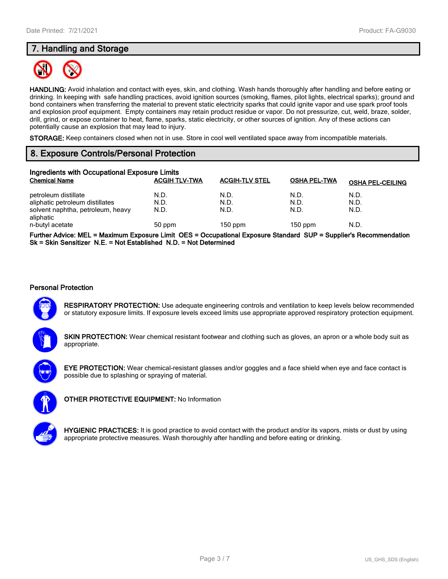# **7. Handling and Storage**



**HANDLING:** Avoid inhalation and contact with eyes, skin, and clothing. Wash hands thoroughly after handling and before eating or drinking. In keeping with safe handling practices, avoid ignition sources (smoking, flames, pilot lights, electrical sparks); ground and bond containers when transferring the material to prevent static electricity sparks that could ignite vapor and use spark proof tools and explosion proof equipment. Empty containers may retain product residue or vapor. Do not pressurize, cut, weld, braze, solder, drill, grind, or expose container to heat, flame, sparks, static electricity, or other sources of ignition. Any of these actions can potentially cause an explosion that may lead to injury.

**STORAGE:** Keep containers closed when not in use. Store in cool well ventilated space away from incompatible materials.

# **8. Exposure Controls/Personal Protection**

| Ingredients with Occupational Exposure Limits  |                      |                       |                     |                         |  |  |
|------------------------------------------------|----------------------|-----------------------|---------------------|-------------------------|--|--|
| <b>Chemical Name</b>                           | <b>ACGIH TLV-TWA</b> | <b>ACGIH-TLV STEL</b> | <b>OSHA PEL-TWA</b> | <b>OSHA PEL-CEILING</b> |  |  |
| petroleum distillate                           | N.D.                 | N.D.                  | N.D.                | N.D.                    |  |  |
| aliphatic petroleum distillates                | N.D.                 | N.D.                  | N.D.                | N.D.                    |  |  |
| solvent naphtha, petroleum, heavy<br>aliphatic | N.D.                 | N.D.                  | N.D.                | N.D.                    |  |  |
| n-butyl acetate                                | 50 ppm               | $150$ ppm             | $150$ ppm           | N.D.                    |  |  |
|                                                |                      |                       |                     |                         |  |  |

**Further Advice: MEL = Maximum Exposure Limit OES = Occupational Exposure Standard SUP = Supplier's Recommendation Sk = Skin Sensitizer N.E. = Not Established N.D. = Not Determined**

#### **Personal Protection**

**RESPIRATORY PROTECTION:** Use adequate engineering controls and ventilation to keep levels below recommended or statutory exposure limits. If exposure levels exceed limits use appropriate approved respiratory protection equipment.

**SKIN PROTECTION:** Wear chemical resistant footwear and clothing such as gloves, an apron or a whole body suit as appropriate.

**EYE PROTECTION:** Wear chemical-resistant glasses and/or goggles and a face shield when eye and face contact is possible due to splashing or spraying of material.



**OTHER PROTECTIVE EQUIPMENT:** No Information



**HYGIENIC PRACTICES:** It is good practice to avoid contact with the product and/or its vapors, mists or dust by using appropriate protective measures. Wash thoroughly after handling and before eating or drinking.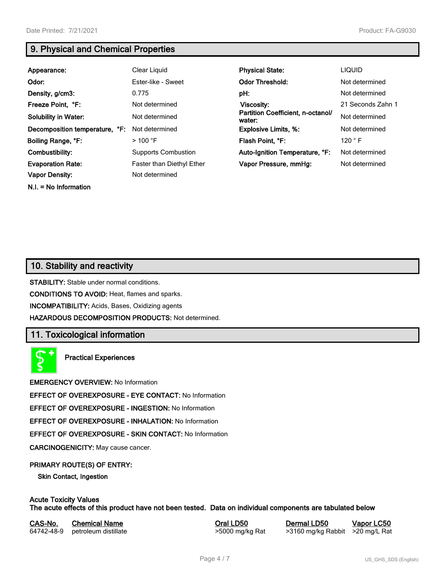**N.I. = No Information**

# **9. Physical and Chemical Properties**

| Appearance:                    | Clear Liquid                     | <b>Physical State:</b>                      | LIQUID            |
|--------------------------------|----------------------------------|---------------------------------------------|-------------------|
| Odor:                          | Ester-like - Sweet               | <b>Odor Threshold:</b>                      | Not determined    |
| Density, g/cm3:                | 0.775                            | pH:                                         | Not determined    |
| Freeze Point, °F:              | Not determined                   | Viscosity:                                  | 21 Seconds Zahn 1 |
| <b>Solubility in Water:</b>    | Not determined                   | Partition Coefficient, n-octanol/<br>water: | Not determined    |
| Decomposition temperature, °F: | Not determined                   | <b>Explosive Limits, %:</b>                 | Not determined    |
| Boiling Range, °F:             | $>100$ °F                        | Flash Point, °F:                            | 120 $\degree$ F   |
| Combustibility:                | <b>Supports Combustion</b>       | Auto-Ignition Temperature, °F:              | Not determined    |
| <b>Evaporation Rate:</b>       | <b>Faster than Diethyl Ether</b> | Vapor Pressure, mmHg:                       | Not determined    |
| <b>Vapor Density:</b>          | Not determined                   |                                             |                   |

# **10. Stability and reactivity**

**STABILITY:** Stable under normal conditions.

**CONDITIONS TO AVOID:** Heat, flames and sparks.

**INCOMPATIBILITY:** Acids, Bases, Oxidizing agents

**HAZARDOUS DECOMPOSITION PRODUCTS:** Not determined.

# **11. Toxicological information**

**Practical Experiences**

**EMERGENCY OVERVIEW:** No Information

**EFFECT OF OVEREXPOSURE - EYE CONTACT:** No Information

**EFFECT OF OVEREXPOSURE - INGESTION:** No Information

**EFFECT OF OVEREXPOSURE - INHALATION:** No Information

**EFFECT OF OVEREXPOSURE - SKIN CONTACT:** No Information

**CARCINOGENICITY:** May cause cancer.

#### **PRIMARY ROUTE(S) OF ENTRY:**

**Skin Contact, Ingestion**

#### **Acute Toxicity Values The acute effects of this product have not been tested. Data on individual components are tabulated below**

| CAS-No. | <b>Chemical Name</b>            | Oral LD50       | <b>Dermal</b> |
|---------|---------------------------------|-----------------|---------------|
|         | 64742-48-9 petroleum distillate | >5000 mg/kg Rat | >3160 m       |

**CAS-No. Chemical Name Oral LD50 Dermal LD50 Vapor LC50** ng/kg Rabbit >20 mg/L Rat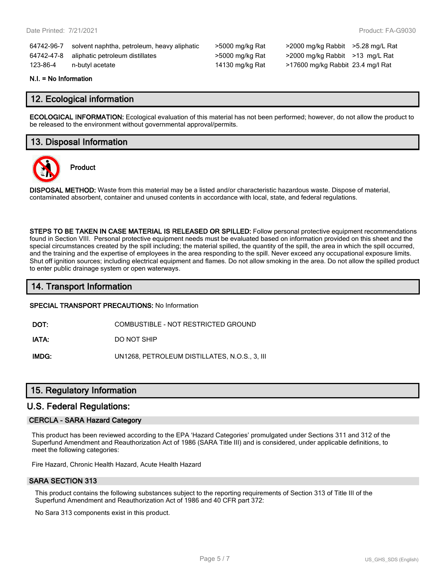| 64742-96-7 | solvent naphtha, petroleum, heavy aliphatic |  |
|------------|---------------------------------------------|--|
| 64742-47-8 | aliphatic petroleum distillates             |  |
| 123-86-4   | n-butyl acetate                             |  |

5000 mg/kg Rat >2000 mg/kg Rabbit >5.28 mg/L Rat >5000 mg/kg Rat >2000 mg/kg Rabbit >13 mg/L Rat 14130 mg/kg Rat >17600 mg/kg Rabbit 23.4 mg/l Rat

#### **N.I. = No Information**

# **12. Ecological information**

**ECOLOGICAL INFORMATION:** Ecological evaluation of this material has not been performed; however, do not allow the product to be released to the environment without governmental approval/permits.

# **13. Disposal Information**



**Product**

**DISPOSAL METHOD:** Waste from this material may be a listed and/or characteristic hazardous waste. Dispose of material, contaminated absorbent, container and unused contents in accordance with local, state, and federal regulations.

**STEPS TO BE TAKEN IN CASE MATERIAL IS RELEASED OR SPILLED:** Follow personal protective equipment recommendations found in Section VIII. Personal protective equipment needs must be evaluated based on information provided on this sheet and the special circumstances created by the spill including; the material spilled, the quantity of the spill, the area in which the spill occurred, and the training and the expertise of employees in the area responding to the spill. Never exceed any occupational exposure limits. Shut off ignition sources; including electrical equipment and flames. Do not allow smoking in the area. Do not allow the spilled product to enter public drainage system or open waterways.

# **14. Transport Information**

#### **SPECIAL TRANSPORT PRECAUTIONS:** No Information

**DOT:** COMBUSTIBLE - NOT RESTRICTED GROUND

**IATA:** DO NOT SHIP

**IMDG:** UN1268, PETROLEUM DISTILLATES, N.O.S., 3, III

# **15. Regulatory Information**

### **U.S. Federal Regulations:**

#### **CERCLA - SARA Hazard Category**

This product has been reviewed according to the EPA 'Hazard Categories' promulgated under Sections 311 and 312 of the Superfund Amendment and Reauthorization Act of 1986 (SARA Title III) and is considered, under applicable definitions, to meet the following categories:

Fire Hazard, Chronic Health Hazard, Acute Health Hazard

#### **SARA SECTION 313**

This product contains the following substances subject to the reporting requirements of Section 313 of Title III of the Superfund Amendment and Reauthorization Act of 1986 and 40 CFR part 372:

No Sara 313 components exist in this product.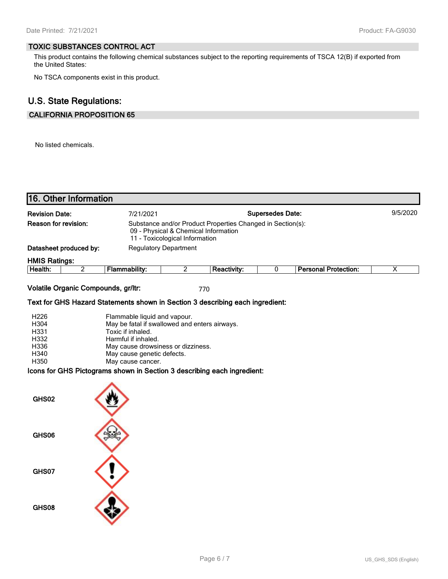#### **TOXIC SUBSTANCES CONTROL ACT**

This product contains the following chemical substances subject to the reporting requirements of TSCA 12(B) if exported from the United States:

No TSCA components exist in this product.

# **U.S. State Regulations:**

# **CALIFORNIA PROPOSITION 65**

No listed chemicals.

|                                                      | 16. Other Information               |                                                                                                                                                                                                                    |                |                                                                                                    |                         |                             |          |
|------------------------------------------------------|-------------------------------------|--------------------------------------------------------------------------------------------------------------------------------------------------------------------------------------------------------------------|----------------|----------------------------------------------------------------------------------------------------|-------------------------|-----------------------------|----------|
|                                                      |                                     |                                                                                                                                                                                                                    |                |                                                                                                    |                         |                             |          |
| <b>Revision Date:</b>                                |                                     | 7/21/2021                                                                                                                                                                                                          |                |                                                                                                    | <b>Supersedes Date:</b> |                             | 9/5/2020 |
| Reason for revision:                                 |                                     | 11 - Toxicological Information                                                                                                                                                                                     |                | Substance and/or Product Properties Changed in Section(s):<br>09 - Physical & Chemical Information |                         |                             |          |
|                                                      | Datasheet produced by:              | <b>Regulatory Department</b>                                                                                                                                                                                       |                |                                                                                                    |                         |                             |          |
| <b>HMIS Ratings:</b>                                 |                                     |                                                                                                                                                                                                                    |                |                                                                                                    |                         |                             |          |
| Health:                                              | $\overline{2}$                      | <b>Flammability:</b>                                                                                                                                                                                               | $\overline{2}$ | <b>Reactivity:</b>                                                                                 | 0                       | <b>Personal Protection:</b> | X        |
|                                                      | Volatile Organic Compounds, gr/ltr: |                                                                                                                                                                                                                    |                | 770                                                                                                |                         |                             |          |
|                                                      |                                     | Text for GHS Hazard Statements shown in Section 3 describing each ingredient:                                                                                                                                      |                |                                                                                                    |                         |                             |          |
| H226<br>H304<br>H331<br>H332<br>H336<br>H340<br>H350 |                                     | Flammable liquid and vapour.<br>May be fatal if swallowed and enters airways.<br>Toxic if inhaled.<br>Harmful if inhaled.<br>May cause drowsiness or dizziness.<br>May cause genetic defects.<br>May cause cancer. |                |                                                                                                    |                         |                             |          |
|                                                      |                                     | Icons for GHS Pictograms shown in Section 3 describing each ingredient:                                                                                                                                            |                |                                                                                                    |                         |                             |          |
| GHS02                                                |                                     |                                                                                                                                                                                                                    |                |                                                                                                    |                         |                             |          |
| GHS06                                                |                                     |                                                                                                                                                                                                                    |                |                                                                                                    |                         |                             |          |
| GHS07                                                |                                     |                                                                                                                                                                                                                    |                |                                                                                                    |                         |                             |          |
| GHS08                                                |                                     |                                                                                                                                                                                                                    |                |                                                                                                    |                         |                             |          |